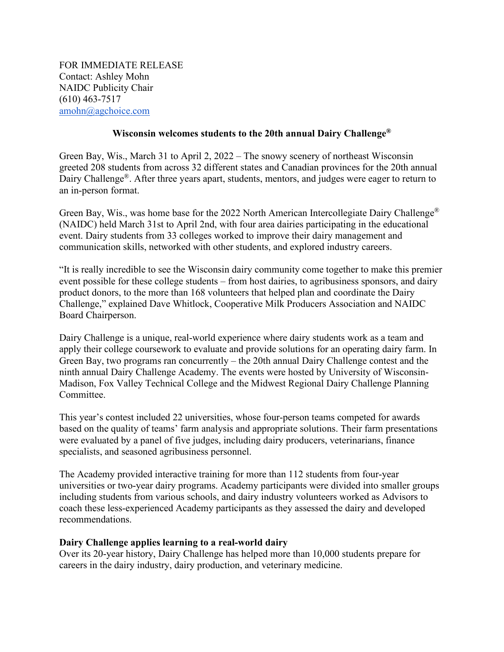FOR IMMEDIATE RELEASE Contact: Ashley Mohn NAIDC Publicity Chair (610) 463-7517 [amohn@agchoice.com](mailto:amohn@agchoice.com)

## **Wisconsin welcomes students to the 20th annual Dairy Challenge®**

Green Bay, Wis., March 31 to April 2, 2022 – The snowy scenery of northeast Wisconsin greeted 208 students from across 32 different states and Canadian provinces for the 20th annual Dairy Challenge<sup>®</sup>. After three years apart, students, mentors, and judges were eager to return to an in-person format.

Green Bay, Wis., was home base for the 2022 North American Intercollegiate Dairy Challenge® (NAIDC) held March 31st to April 2nd, with four area dairies participating in the educational event. Dairy students from 33 colleges worked to improve their dairy management and communication skills, networked with other students, and explored industry careers.

"It is really incredible to see the Wisconsin dairy community come together to make this premier event possible for these college students – from host dairies, to agribusiness sponsors, and dairy product donors, to the more than 168 volunteers that helped plan and coordinate the Dairy Challenge," explained Dave Whitlock, Cooperative Milk Producers Association and NAIDC Board Chairperson.

Dairy Challenge is a unique, real-world experience where dairy students work as a team and apply their college coursework to evaluate and provide solutions for an operating dairy farm. In Green Bay, two programs ran concurrently – the 20th annual Dairy Challenge contest and the ninth annual Dairy Challenge Academy. The events were hosted by University of Wisconsin-Madison, Fox Valley Technical College and the Midwest Regional Dairy Challenge Planning Committee.

This year's contest included 22 universities, whose four-person teams competed for awards based on the quality of teams' farm analysis and appropriate solutions. Their farm presentations were evaluated by a panel of five judges, including dairy producers, veterinarians, finance specialists, and seasoned agribusiness personnel.

The Academy provided interactive training for more than 112 students from four-year universities or two-year dairy programs. Academy participants were divided into smaller groups including students from various schools, and dairy industry volunteers worked as Advisors to coach these less-experienced Academy participants as they assessed the dairy and developed recommendations.

## **Dairy Challenge applies learning to a real-world dairy**

Over its 20-year history, Dairy Challenge has helped more than 10,000 students prepare for careers in the dairy industry, dairy production, and veterinary medicine.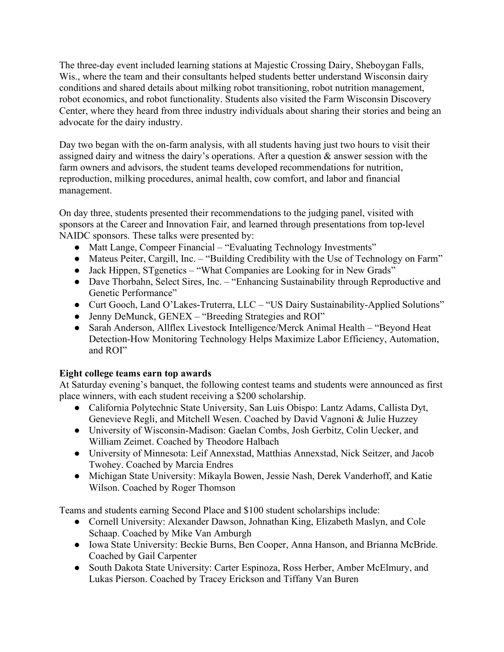The three-day event included learning stations at Majestic Crossing Dairy, Sheboygan Falls, Wis., where the team and their consultants helped students better understand Wisconsin dairy conditions and shared details about milking robot transitioning, robot nutrition management, robot economics, and robot functionality. Students also visited the Farm Wisconsin Discovery Center, where they heard from three industry individuals about sharing their stories and being an advocate for the dairy industry.

Day two began with the on-farm analysis, with all students having just two hours to visit their assigned dairy and witness the dairy's operations. After a question & answer session with the farm owners and advisors, the student teams developed recommendations for nutrition, reproduction, milking procedures, animal health, cow comfort, and labor and financial management.

On day three, students presented their recommendations to the judging panel, visited with sponsors at the Career and Innovation Fair, and learned through presentations from top-level NAIDC sponsors. These talks were presented by:

- Matt Lange, Compeer Financial "Evaluating Technology Investments"
- Mateus Peiter, Cargill, Inc. "Building Credibility with the Use of Technology on Farm"
- Jack Hippen, STgenetics "What Companies are Looking for in New Grads"
- Dave Thorbahn, Select Sires, Inc. "Enhancing Sustainability through Reproductive and Genetic Performance"
- Curt Gooch, Land O'Lakes-Truterra, LLC "US Dairy Sustainability-Applied Solutions"
- Jenny DeMunck, GENEX "Breeding Strategies and ROI"
- Sarah Anderson, Allflex Livestock Intelligence/Merck Animal Health "Beyond Heat Detection-How Monitoring Technology Helps Maximize Labor Efficiency, Automation, and ROI"

## **Eight college teams earn top awards**

At Saturday evening's banquet, the following contest teams and students were announced as first place winners, with each student receiving a \$200 scholarship.

- California Polytechnic State University, San Luis Obispo: Lantz Adams, Callista Dyt, Genevieve Regli, and Mitchell Wesen. Coached by David Vagnoni & Julie Huzzey
- University of Wisconsin-Madison: Gaelan Combs, Josh Gerbitz, Colin Uecker, and William Zeimet. Coached by Theodore Halbach
- University of Minnesota: Leif Annexstad, Matthias Annexstad, Nick Seitzer, and Jacob Twohey. Coached by Marcia Endres
- Michigan State University: Mikayla Bowen, Jessie Nash, Derek Vanderhoff, and Katie Wilson. Coached by Roger Thomson

Teams and students earning Second Place and \$100 student scholarships include:

- Cornell University: Alexander Dawson, Johnathan King, Elizabeth Maslyn, and Cole Schaap. Coached by Mike Van Amburgh
- Iowa State University: Beckie Burns, Ben Cooper, Anna Hanson, and Brianna McBride. Coached by Gail Carpenter
- South Dakota State University: Carter Espinoza, Ross Herber, Amber McElmury, and Lukas Pierson. Coached by Tracey Erickson and Tiffany Van Buren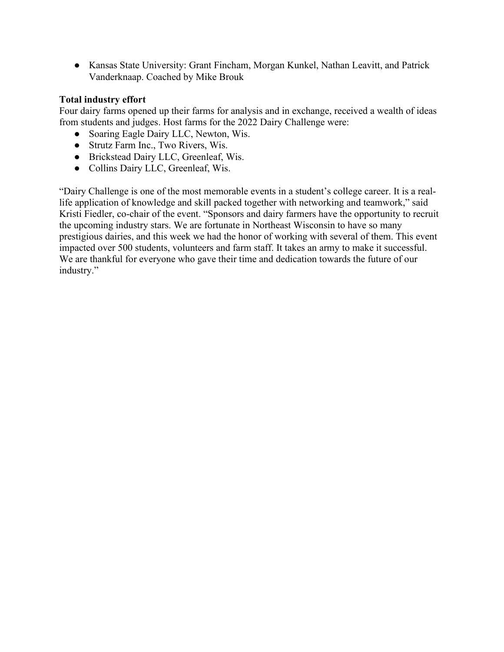● Kansas State University: Grant Fincham, Morgan Kunkel, Nathan Leavitt, and Patrick Vanderknaap. Coached by Mike Brouk

## **Total industry effort**

Four dairy farms opened up their farms for analysis and in exchange, received a wealth of ideas from students and judges. Host farms for the 2022 Dairy Challenge were:

- Soaring Eagle Dairy LLC, Newton, Wis.
- Strutz Farm Inc., Two Rivers, Wis.
- Brickstead Dairy LLC, Greenleaf, Wis.
- Collins Dairy LLC, Greenleaf, Wis.

"Dairy Challenge is one of the most memorable events in a student's college career. It is a reallife application of knowledge and skill packed together with networking and teamwork," said Kristi Fiedler, co-chair of the event. "Sponsors and dairy farmers have the opportunity to recruit the upcoming industry stars. We are fortunate in Northeast Wisconsin to have so many prestigious dairies, and this week we had the honor of working with several of them. This event impacted over 500 students, volunteers and farm staff. It takes an army to make it successful. We are thankful for everyone who gave their time and dedication towards the future of our industry."